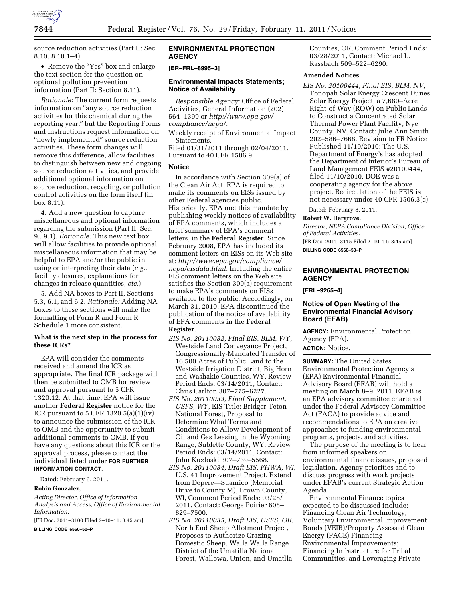

source reduction activities (Part II: Sec. 8.10, 8.10.1–4).

• Remove the "Yes" box and enlarge the text section for the question on optional pollution prevention information (Part II: Section 8.11).

*Rationale:* The current form requests information on ''any source reduction activities for this chemical during the reporting year;'' but the Reporting Forms and Instructions request information on "newly implemented" source reduction activities. These form changes will remove this difference, allow facilities to distinguish between new and ongoing source reduction activities, and provide additional optional information on source reduction, recycling, or pollution control activities on the form itself (in box 8.11).

4. Add a new question to capture miscellaneous and optional information regarding the submission (Part II: Sec. 9., 9.1). *Rationale:* This new text box will allow facilities to provide optional, miscellaneous information that may be helpful to EPA and/or the public in using or interpreting their data (*e.g.,*  facility closures, explanations for changes in release quantities, *etc.*).

5. Add NA boxes to Part II, Sections 5.3, 6.1, and 6.2. *Rationale:* Adding NA boxes to these sections will make the formatting of Form R and Form R Schedule 1 more consistent.

### **What is the next step in the process for these ICRs?**

EPA will consider the comments received and amend the ICR as appropriate. The final ICR package will then be submitted to OMB for review and approval pursuant to 5 CFR 1320.12. At that time, EPA will issue another **Federal Register** notice for the ICR pursuant to  $5$  CFR 1320.5(a)(1)(iv) to announce the submission of the ICR to OMB and the opportunity to submit additional comments to OMB. If you have any questions about this ICR or the approval process, please contact the individual listed under **FOR FURTHER INFORMATION CONTACT**.

Dated: February 6, 2011.

#### **Robin Gonzalez,**

*Acting Director, Office of Information Analysis and Access, Office of Environmental Information.* 

[FR Doc. 2011–3100 Filed 2–10–11; 8:45 am]

**BILLING CODE 6560–50–P** 

## **ENVIRONMENTAL PROTECTION AGENCY**

### **[ER–FRL–8995–3]**

### **Environmental Impacts Statements; Notice of Availability**

*Responsible Agency:* Office of Federal Activities, General Information (202) 564–1399 or *[http://www.epa.gov/](http://www.epa.gov/compliance/nepa/) [compliance/nepa/.](http://www.epa.gov/compliance/nepa/)* 

Weekly receipt of Environmental Impact Statements.

Filed 01/31/2011 through 02/04/2011. Pursuant to 40 CFR 1506.9.

# **Notice**

In accordance with Section 309(a) of the Clean Air Act, EPA is required to make its comments on EISs issued by other Federal agencies public. Historically, EPA met this mandate by publishing weekly notices of availability of EPA comments, which includes a brief summary of EPA's comment letters, in the **Federal Register**. Since February 2008, EPA has included its comment letters on EISs on its Web site at: *[http://www.epa.gov/compliance/](http://www.epa.gov/compliance/nepa/eisdata.html)  [nepa/eisdata.html.](http://www.epa.gov/compliance/nepa/eisdata.html)* Including the entire EIS comment letters on the Web site satisfies the Section 309(a) requirement to make EPA's comments on EISs available to the public. Accordingly, on March 31, 2010, EPA discontinued the publication of the notice of availability of EPA comments in the **Federal Register**.

- *EIS No. 20110032, Final EIS, BLM, WY,*  Westside Land Conveyance Project, Congressionally-Mandated Transfer of 16,500 Acres of Public Land to the Westside Irrigation District, Big Horn and Washakie Counties, WY, Review Period Ends: 03/14/2011, Contact: Chris Carlton 307–775–6227.
- *EIS No. 20110033, Final Supplement, USFS, WY,* EIS Title: Bridger-Teton National Forest, Proposal to Determine What Terms and Conditions to Allow Development of Oil and Gas Leasing in the Wyoming Range, Sublette County, WY, Review Period Ends: 03/14/2011, Contact: John Kuzloski 307–739–5568.
- *EIS No. 20110034, Draft EIS, FHWA, WI,*  U.S. 41 Improvement Project, Extend from Depere—Suamico (Memorial Drive to County M), Brown County, WI, Comment Period Ends: 03/28/ 2011, Contact: George Poirier 608– 829–7500.
- *EIS No. 20110035, Draft EIS, USFS, OR,*  North End Sheep Allotment Project, Proposes to Authorize Grazing Domestic Sheep, Walla Walla Range District of the Umatilla National Forest, Wallowa, Union, and Umatlla

Counties, OR, Comment Period Ends: 03/28/2011, Contact: Michael L. Rassbach 509–522–6290.

## **Amended Notices**

*EIS No. 20100444, Final EIS, BLM, NV,*  Tonopah Solar Energy Crescent Dunes Solar Energy Project, a 7,680–Acre Right-of-Way (ROW) on Public Lands to Construct a Concentrated Solar Thermal Power Plant Facility, Nye County, NV, Contact: Julie Ann Smith 202–586–7668. Revision to FR Notice Published 11/19/2010: The U.S. Department of Energy's has adopted the Department of Interior's Bureau of Land Management FEIS #20100444, filed 11/10/2010. DOE was a cooperating agency for the above project. Recirculation of the FEIS is not necessary under 40 CFR 1506.3(c).

Dated: February 8, 2011.

#### **Robert W. Hargrove,**

*Director, NEPA Compliance Division, Office of Federal Activities.* 

[FR Doc. 2011–3115 Filed 2–10–11; 8:45 am]

**BILLING CODE 6560–50–P** 

## **ENVIRONMENTAL PROTECTION AGENCY**

**[FRL–9265–4]** 

# **Notice of Open Meeting of the Environmental Financial Advisory Board (EFAB)**

**AGENCY:** Environmental Protection Agency (EPA).

# **ACTION:** Notice.

**SUMMARY:** The United States Environmental Protection Agency's (EPA) Environmental Financial Advisory Board (EFAB) will hold a meeting on March 8–9, 2011. EFAB is an EPA advisory committee chartered under the Federal Advisory Committee Act (FACA) to provide advice and recommendations to EPA on creative approaches to funding environmental programs, projects, and activities.

The purpose of the meeting is to hear from informed speakers on environmental finance issues, proposed legislation, Agency priorities and to discuss progress with work projects under EFAB's current Strategic Action Agenda.

Environmental Finance topics expected to be discussed include: Financing Clean Air Technology; Voluntary Environmental Improvement Bonds (VEIB)/Property Assessed Clean Energy (PACE) Financing Environmental Improvements; Financing Infrastructure for Tribal Communities; and Leveraging Private